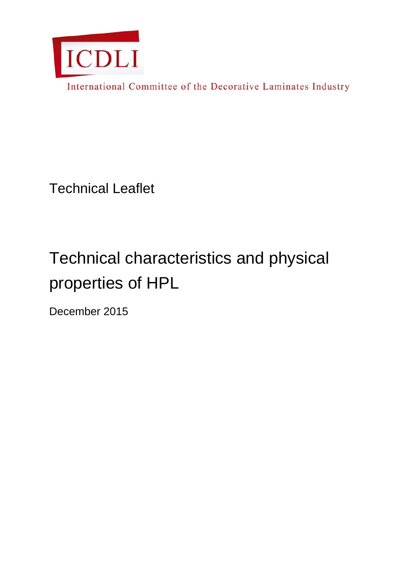

International Committee of the Decorative Laminates Industry

Technical Leaflet

# Technical characteristics and physical properties of HPL

December 2015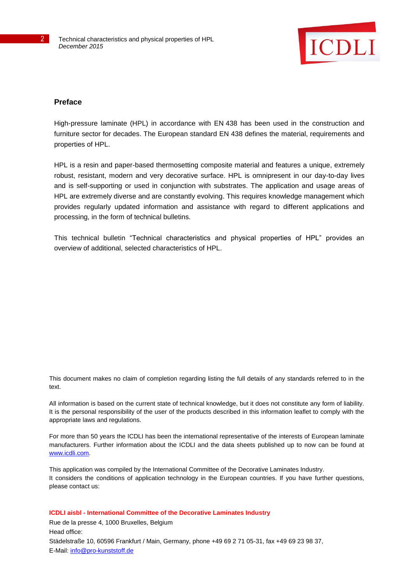

## **Preface**

High-pressure laminate (HPL) in accordance with EN 438 has been used in the construction and furniture sector for decades. The European standard EN 438 defines the material, requirements and properties of HPL.

HPL is a resin and paper-based thermosetting composite material and features a unique, extremely robust, resistant, modern and very decorative surface. HPL is omnipresent in our day-to-day lives and is self-supporting or used in conjunction with substrates. The application and usage areas of HPL are extremely diverse and are constantly evolving. This requires knowledge management which provides regularly updated information and assistance with regard to different applications and processing, in the form of technical bulletins.

This technical bulletin "Technical characteristics and physical properties of HPL" provides an overview of additional, selected characteristics of HPL.

This document makes no claim of completion regarding listing the full details of any standards referred to in the text.

All information is based on the current state of technical knowledge, but it does not constitute any form of liability. It is the personal responsibility of the user of the products described in this information leaflet to comply with the appropriate laws and regulations.

For more than 50 years the ICDLI has been the international representative of the interests of European laminate manufacturers. Further information about the ICDLI and the data sheets published up to now can be found at [www.icdli.com.](http://www.icdli.com/)

This application was compiled by the International Committee of the Decorative Laminates Industry. It considers the conditions of application technology in the European countries. If you have further questions, please contact us:

**ICDLI aisbl - International Committee of the Decorative Laminates Industry**

Rue de la presse 4, 1000 Bruxelles, Belgium Head office: Städelstraße 10, 60596 Frankfurt / Main, Germany, phone +49 69 2 71 05-31, fax +49 69 23 98 37, E-Mail: [info@pro-kunststoff.de](mailto:info@pro-kunststoff.de)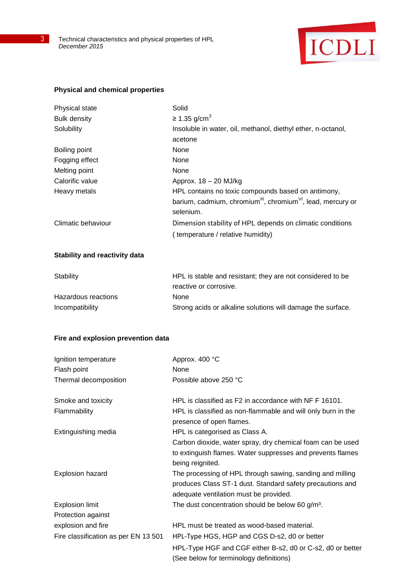

#### **Physical and chemical properties**

| Physical state      | Solid                                                                                |
|---------------------|--------------------------------------------------------------------------------------|
| <b>Bulk density</b> | $\geq$ 1.35 g/cm <sup>3</sup>                                                        |
| Solubility          | Insoluble in water, oil, methanol, diethyl ether, n-octanol,                         |
|                     | acetone                                                                              |
| Boiling point       | None                                                                                 |
| Fogging effect      | None                                                                                 |
| Melting point       | None                                                                                 |
| Calorific value     | Approx. $18 - 20$ MJ/kg                                                              |
| Heavy metals        | HPL contains no toxic compounds based on antimony,                                   |
|                     | barium, cadmium, chromium <sup>III</sup> , chromium <sup>VI</sup> , lead, mercury or |
|                     | selenium.                                                                            |
| Climatic behaviour  | Dimension stability of HPL depends on climatic conditions                            |
|                     | temperature / relative humidity)                                                     |

## **Stability and reactivity data**

| HPL is stable and resistant; they are not considered to be  |  |  |
|-------------------------------------------------------------|--|--|
| reactive or corrosive.                                      |  |  |
| <b>None</b>                                                 |  |  |
| Strong acids or alkaline solutions will damage the surface. |  |  |
|                                                             |  |  |

## **Fire and explosion prevention data**

| Ignition temperature                 | Approx. 400 °C                                               |
|--------------------------------------|--------------------------------------------------------------|
| Flash point                          | None                                                         |
| Thermal decomposition                | Possible above 250 °C                                        |
| Smoke and toxicity                   | HPL is classified as F2 in accordance with NF F 16101.       |
| Flammability                         | HPL is classified as non-flammable and will only burn in the |
|                                      | presence of open flames.                                     |
| Extinguishing media                  | HPL is categorised as Class A.                               |
|                                      | Carbon dioxide, water spray, dry chemical foam can be used   |
|                                      | to extinguish flames. Water suppresses and prevents flames   |
|                                      | being reignited.                                             |
| <b>Explosion hazard</b>              | The processing of HPL through sawing, sanding and milling    |
|                                      | produces Class ST-1 dust. Standard safety precautions and    |
|                                      | adequate ventilation must be provided.                       |
| <b>Explosion limit</b>               | The dust concentration should be below 60 g/m <sup>3</sup> . |
| Protection against                   |                                                              |
| explosion and fire                   | HPL must be treated as wood-based material.                  |
| Fire classification as per EN 13 501 | HPL-Type HGS, HGP and CGS D-s2, d0 or better                 |
|                                      | HPL-Type HGF and CGF either B-s2, d0 or C-s2, d0 or better   |
|                                      | (See below for terminology definitions)                      |
|                                      |                                                              |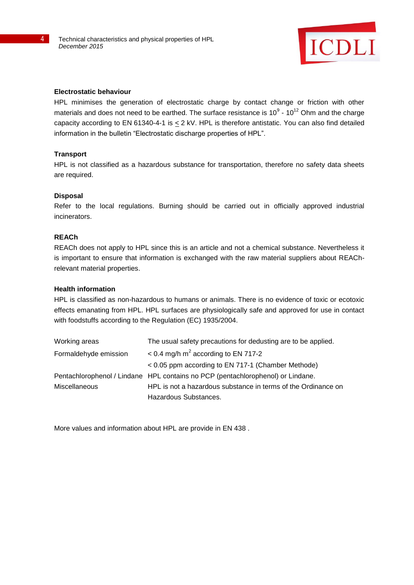

#### **Electrostatic behaviour**

HPL minimises the generation of electrostatic charge by contact change or friction with other materials and does not need to be earthed. The surface resistance is 10 $^9$  - 10<sup>12</sup> Ohm and the charge capacity according to EN 61340-4-1 is  $\leq$  2 kV. HPL is therefore antistatic. You can also find detailed information in the bulletin "Electrostatic discharge properties of HPL".

#### **Transport**

HPL is not classified as a hazardous substance for transportation, therefore no safety data sheets are required.

#### **Disposal**

Refer to the local regulations. Burning should be carried out in officially approved industrial incinerators.

### **REACh**

REACh does not apply to HPL since this is an article and not a chemical substance. Nevertheless it is important to ensure that information is exchanged with the raw material suppliers about REAChrelevant material properties.

#### **Health information**

HPL is classified as non-hazardous to humans or animals. There is no evidence of toxic or ecotoxic effects emanating from HPL. HPL surfaces are physiologically safe and approved for use in contact with foodstuffs according to the Regulation (EC) 1935/2004.

| Working areas         | The usual safety precautions for dedusting are to be applied.                   |
|-----------------------|---------------------------------------------------------------------------------|
| Formaldehyde emission | $<$ 0.4 mg/h m <sup>2</sup> according to EN 717-2                               |
|                       | < 0.05 ppm according to EN 717-1 (Chamber Methode)                              |
|                       | Pentachlorophenol / Lindane HPL contains no PCP (pentachlorophenol) or Lindane. |
| <b>Miscellaneous</b>  | HPL is not a hazardous substance in terms of the Ordinance on                   |
|                       | Hazardous Substances.                                                           |

More values and information about HPL are provide in EN 438 .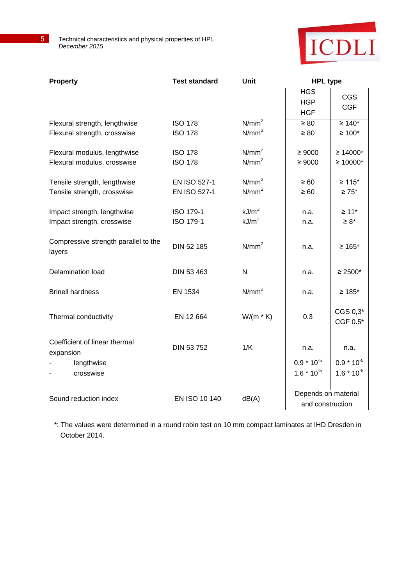

| <b>Property</b>                                               | <b>Test standard</b>             | <b>Unit</b>                            | <b>HPL type</b>                         |                                      |
|---------------------------------------------------------------|----------------------------------|----------------------------------------|-----------------------------------------|--------------------------------------|
|                                                               |                                  |                                        | <b>HGS</b><br><b>HGP</b><br><b>HGF</b>  | <b>CGS</b><br><b>CGF</b>             |
| Flexural strength, lengthwise<br>Flexural strength, crosswise | <b>ISO 178</b><br><b>ISO 178</b> | N/mm <sup>2</sup><br>N/mm <sup>2</sup> | $\geq 80$<br>$\geq 80$                  | $≥ 140*$<br>$\geq 100^{\star}$       |
| Flexural modulus, lengthwise<br>Flexural modulus, crosswise   | <b>ISO 178</b><br><b>ISO 178</b> | N/mm <sup>2</sup><br>N/mm <sup>2</sup> | $\geq 9000$<br>$\geq 9000$              | $≥ 14000*$<br>$≥ 10000*$             |
| Tensile strength, lengthwise<br>Tensile strength, crosswise   | EN ISO 527-1<br>EN ISO 527-1     | N/mm <sup>2</sup><br>N/mm <sup>2</sup> | $\geq 60$<br>$\geq 60$                  | $≥ 115*$<br>$\geq 75$ *              |
| Impact strength, lengthwise<br>Impact strength, crosswise     | ISO 179-1<br><b>ISO 179-1</b>    | kJ/m <sup>2</sup><br>kJ/m <sup>2</sup> | n.a.<br>n.a.                            | $\geq 11$ <sup>*</sup><br>$\geq 8^*$ |
| Compressive strength parallel to the<br>layers                | DIN 52 185                       | N/mm <sup>2</sup>                      | n.a.                                    | $≥ 165*$                             |
| <b>Delamination load</b>                                      | DIN 53 463                       | N                                      | n.a.                                    | $\geq 2500*$                         |
| <b>Brinell hardness</b>                                       | <b>EN 1534</b>                   | $N/mm^2$                               | n.a.                                    | $≥ 185*$                             |
| Thermal conductivity                                          | EN 12 664                        | $W/(m * K)$                            | 0.3                                     | CGS 0,3*<br>CGF 0.5*                 |
| Coefficient of linear thermal<br>expansion                    | DIN 53 752                       | 1/K                                    | n.a.                                    | n.a.                                 |
| lengthwise<br>crosswise                                       |                                  |                                        | $0.9 * 10^{-5}$<br>$1.6 * 10^{-5}$      | $0.9 * 10^{-5}$<br>$1.6 * 10^{-5}$   |
| Sound reduction index                                         | EN ISO 10 140                    | dB(A)                                  | Depends on material<br>and construction |                                      |

\*: The values were determined in a round robin test on 10 mm compact laminates at IHD Dresden in October 2014.